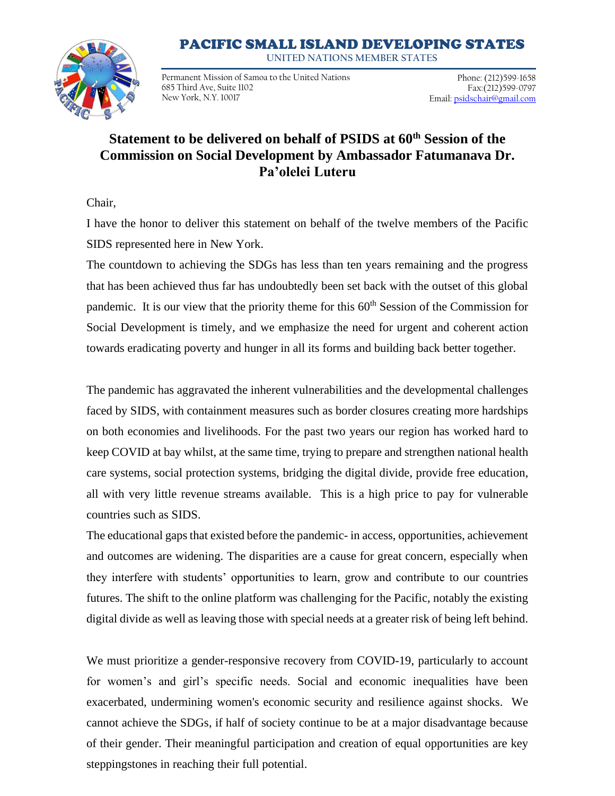## PACIFIC SMALL ISLAND DEVELOPING STATES

**UNITED NATIONS MEMBER STATES**



Permanent Mission of Samoa to the United Nations 685 Third Ave, Suite 1102 New York, N.Y. 10017

Phone: (212)599-1658 Fax:(212)599-0797 Email[: psidschair@gmail.com](about:blank)

## **Statement to be delivered on behalf of PSIDS at 60th Session of the Commission on Social Development by Ambassador Fatumanava Dr. Pa'olelei Luteru**

Chair,

I have the honor to deliver this statement on behalf of the twelve members of the Pacific SIDS represented here in New York.

The countdown to achieving the SDGs has less than ten years remaining and the progress that has been achieved thus far has undoubtedly been set back with the outset of this global pandemic. It is our view that the priority theme for this  $60<sup>th</sup>$  Session of the Commission for Social Development is timely, and we emphasize the need for urgent and coherent action towards eradicating poverty and hunger in all its forms and building back better together.

The pandemic has aggravated the inherent vulnerabilities and the developmental challenges faced by SIDS, with containment measures such as border closures creating more hardships on both economies and livelihoods. For the past two years our region has worked hard to keep COVID at bay whilst, at the same time, trying to prepare and strengthen national health care systems, social protection systems, bridging the digital divide, provide free education, all with very little revenue streams available. This is a high price to pay for vulnerable countries such as SIDS.

The educational gaps that existed before the pandemic- in access, opportunities, achievement and outcomes are widening. The disparities are a cause for great concern, especially when they interfere with students' opportunities to learn, grow and contribute to our countries futures. The shift to the online platform was challenging for the Pacific, notably the existing digital divide as well as leaving those with special needs at a greater risk of being left behind.

We must prioritize a gender-responsive recovery from COVID-19, particularly to account for women's and girl's specific needs. Social and economic inequalities have been exacerbated, undermining women's economic security and resilience against shocks. We cannot achieve the SDGs, if half of society continue to be at a major disadvantage because of their gender. Their meaningful participation and creation of equal opportunities are key steppingstones in reaching their full potential.